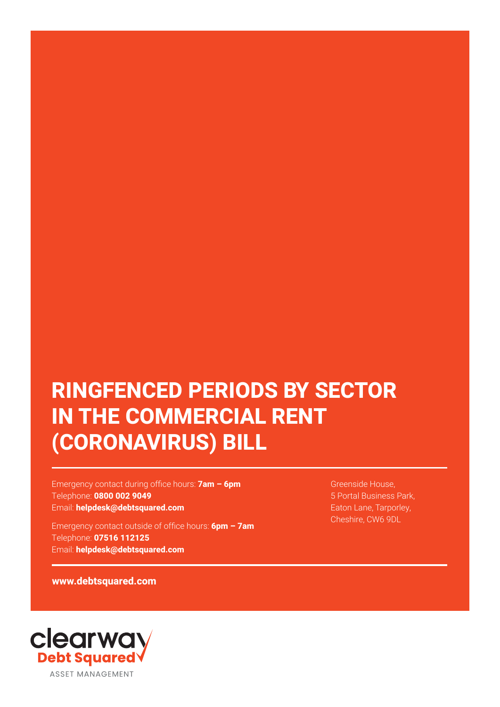# **RINGFENCED PERIODS BY SECTOR IN THE COMMERCIAL RENT (CORONAVIRUS) BILL**

Emergency contact during office hours: **7am – 6pm** Telephone: **0800 002 9049** Email: **helpdesk@debtsquared.com**

Emergency contact outside of office hours: **6pm – 7am** Telephone: **07516 112125** Email: **helpdesk@debtsquared.com**

Greenside House, 5 Portal Business Park, Eaton Lane, Tarporley, Cheshire, CW6 9DL

**www.debtsquared.com**

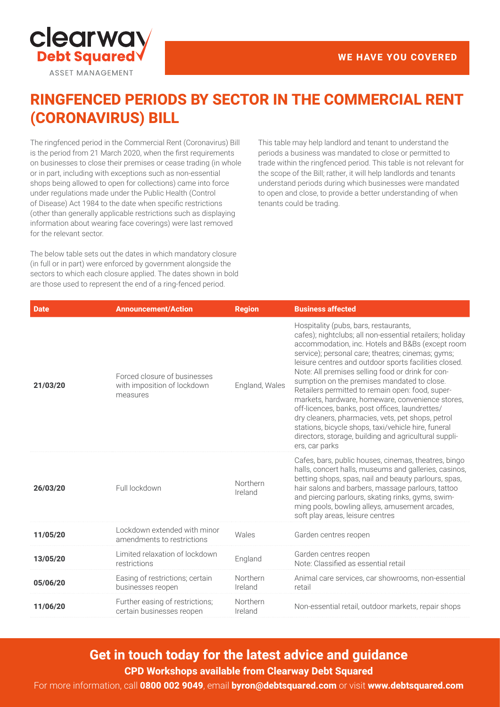

# **RINGFENCED PERIODS BY SECTOR IN THE COMMERCIAL RENT (CORONAVIRUS) BILL**

The ringfenced period in the Commercial Rent (Coronavirus) Bill is the period from 21 March 2020, when the first requirements on businesses to close their premises or cease trading (in whole or in part, including with exceptions such as non-essential shops being allowed to open for collections) came into force under regulations made under the Public Health (Control of Disease) Act 1984 to the date when specific restrictions (other than generally applicable restrictions such as displaying information about wearing face coverings) were last removed for the relevant sector.

The below table sets out the dates in which mandatory closure (in full or in part) were enforced by government alongside the sectors to which each closure applied. The dates shown in bold are those used to represent the end of a ring-fenced period.

This table may help landlord and tenant to understand the periods a business was mandated to close or permitted to trade within the ringfenced period. This table is not relevant for the scope of the Bill; rather, it will help landlords and tenants understand periods during which businesses were mandated to open and close, to provide a better understanding of when tenants could be trading.

| <b>Date</b> | <b>Announcement/Action</b>                                              | <b>Region</b>       | <b>Business affected</b>                                                                                                                                                                                                                                                                                                                                                                                                                                                                                                                                                                                                                                                                                                  |
|-------------|-------------------------------------------------------------------------|---------------------|---------------------------------------------------------------------------------------------------------------------------------------------------------------------------------------------------------------------------------------------------------------------------------------------------------------------------------------------------------------------------------------------------------------------------------------------------------------------------------------------------------------------------------------------------------------------------------------------------------------------------------------------------------------------------------------------------------------------------|
| 21/03/20    | Forced closure of businesses<br>with imposition of lockdown<br>measures | England, Wales      | Hospitality (pubs, bars, restaurants,<br>cafes); nightclubs; all non-essential retailers; holiday<br>accommodation, inc. Hotels and B&Bs (except room<br>service); personal care; theatres; cinemas; gyms;<br>leisure centres and outdoor sports facilities closed.<br>Note: All premises selling food or drink for con-<br>sumption on the premises mandated to close.<br>Retailers permitted to remain open: food, super-<br>markets, hardware, homeware, convenience stores,<br>off-licences, banks, post offices, laundrettes/<br>dry cleaners, pharmacies, vets, pet shops, petrol<br>stations, bicycle shops, taxi/vehicle hire, funeral<br>directors, storage, building and agricultural suppli-<br>ers, car parks |
| 26/03/20    | Full lockdown                                                           | Northern<br>Ireland | Cafes, bars, public houses, cinemas, theatres, bingo<br>halls, concert halls, museums and galleries, casinos,<br>betting shops, spas, nail and beauty parlours, spas,<br>hair salons and barbers, massage parlours, tattoo<br>and piercing parlours, skating rinks, gyms, swim-<br>ming pools, bowling alleys, amusement arcades,<br>soft play areas, leisure centres                                                                                                                                                                                                                                                                                                                                                     |
| 11/05/20    | Lockdown extended with minor<br>amendments to restrictions              | Wales               | Garden centres reopen                                                                                                                                                                                                                                                                                                                                                                                                                                                                                                                                                                                                                                                                                                     |
| 13/05/20    | Limited relaxation of lockdown<br>restrictions                          | England             | Garden centres reopen<br>Note: Classified as essential retail                                                                                                                                                                                                                                                                                                                                                                                                                                                                                                                                                                                                                                                             |
| 05/06/20    | Easing of restrictions; certain<br>businesses reopen                    | Northern<br>Ireland | Animal care services, car showrooms, non-essential<br>retail                                                                                                                                                                                                                                                                                                                                                                                                                                                                                                                                                                                                                                                              |
| 11/06/20    | Further easing of restrictions;<br>certain businesses reopen            | Northern<br>Ireland | Non-essential retail, outdoor markets, repair shops                                                                                                                                                                                                                                                                                                                                                                                                                                                                                                                                                                                                                                                                       |

**Get in touch today for the latest advice and guidance CPD Workshops available from Clearway Debt Squared**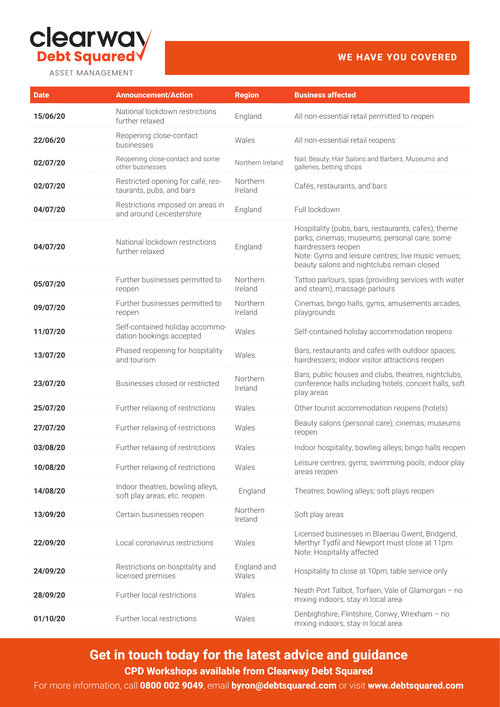

# **WE HAVE YOU COVERED**

| <b>Date</b> | <b>Announcement/Action</b>                                       | <b>Region</b>        | <b>Business affected</b>                                                                                                                                                                                                       |
|-------------|------------------------------------------------------------------|----------------------|--------------------------------------------------------------------------------------------------------------------------------------------------------------------------------------------------------------------------------|
| 15/06/20    | National lockdown restrictions<br>further relaxed                | England              | All non-essential retail permitted to reopen                                                                                                                                                                                   |
| 22/06/20    | Reopening close-contact<br>businesses                            | Wales                | All non-essential retail reopens                                                                                                                                                                                               |
| 02/07/20    | Reopening close-contact and some<br>other businesses             | Northern Ireland     | Nail, Beauty, Hair Salons and Barbers, Museums and<br>galleries, betting shops                                                                                                                                                 |
| 02/07/20    | Restricted opening for café, res-<br>taurants, pubs, and bars    | Northern<br>Ireland  | Cafés, restaurants, and bars                                                                                                                                                                                                   |
| 04/07/20    | Restrictions imposed on areas in<br>and around Leicestershire    | England              | Full lockdown                                                                                                                                                                                                                  |
| 04/07/20    | National lockdown restrictions<br>further relaxed                | England              | Hospitality (pubs, bars, restaurants, cafes); theme<br>parks; cinemas; museums; personal care, some<br>hairdressers reopen<br>Note: Gyms and leisure centres; live music venues;<br>beauty salons and nightclubs remain closed |
| 05/07/20    | Further businesses permitted to<br>reopen                        | Northern<br>Ireland  | Tattoo parlours, spas (providing services with water<br>and steam), massage parlours                                                                                                                                           |
| 09/07/20    | Further businesses permitted to<br>reopen                        | Northern<br>Ireland  | Cinemas, bingo halls, gyms, amusements arcades,<br>playgrounds                                                                                                                                                                 |
| 11/07/20    | Self-contained holiday accommo-<br>dation bookings accepted      | Wales                | Self-contained holiday accommodation reopens                                                                                                                                                                                   |
| 13/07/20    | Phased reopening for hospitality<br>and tourism                  | Wales                | Bars, restaurants and cafes with outdoor spaces;<br>hairdressers; indoor visitor attractions reopen                                                                                                                            |
| 23/07/20    | Businesses closed or restricted                                  | Northern<br>Ireland  | Bars, public houses and clubs, theatres, nightclubs,<br>conference halls including hotels, concert halls, soft<br>play areas                                                                                                   |
| 25/07/20    | Further relaxing of restrictions                                 | Wales                | Other tourist accommodation reopens (hotels)                                                                                                                                                                                   |
| 27/07/20    | Further relaxing of restrictions                                 | Wales                | Beauty salons (personal care); cinemas; museums<br>reopen                                                                                                                                                                      |
| 03/08/20    | Further relaxing of restrictions                                 | Wales                | Indoor hospitality; bowling alleys; bingo halls reopen                                                                                                                                                                         |
| 10/08/20    | Further relaxing of restrictions                                 | Wales                | Leisure centres; gyms; swimming pools; indoor play<br>areas reopen                                                                                                                                                             |
| 14/08/20    | Indoor theatres, bowling alleys,<br>soft play areas, etc. reopen | England              | Theatres; bowling alleys; soft plays reopen                                                                                                                                                                                    |
| 13/09/20    | Certain businesses reopen                                        | Northern<br>Ireland  | Soft play areas                                                                                                                                                                                                                |
| 22/09/20    | Local coronavirus restrictions                                   | Wales                | Licensed businesses in Blaenau Gwent, Bridgend,<br>Merthyr Tydfil and Newport must close at 11pm<br>Note: Hospitality affected                                                                                                 |
| 24/09/20    | Restrictions on hospitality and<br>licensed premises             | England and<br>Wales | Hospitality to close at 10pm, table service only                                                                                                                                                                               |
| 28/09/20    | Further local restrictions                                       | Wales                | Neath Port Talbot, Torfaen, Vale of Glamorgan - no<br>mixing indoors, stay in local area                                                                                                                                       |
| 01/10/20    | Further local restrictions                                       | Wales                | Denbighshire, Flintshire, Conwy, Wrexham - no<br>mixing indoors, stay in local area                                                                                                                                            |

**Get in touch today for the latest advice and guidance CPD Workshops available from Clearway Debt Squared**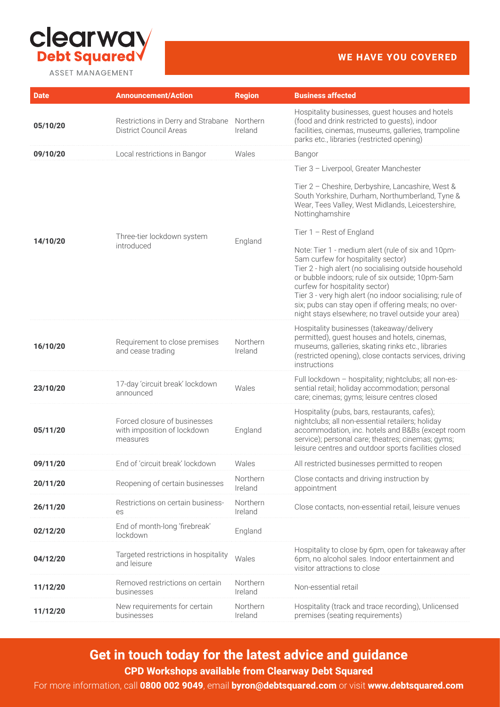

# **WE HAVE YOU COVERED**

| <b>Date</b> | <b>Announcement/Action</b>                                              | <b>Region</b>       | <b>Business affected</b>                                                                                                                                                                                                                                                                                                                                                                                          |
|-------------|-------------------------------------------------------------------------|---------------------|-------------------------------------------------------------------------------------------------------------------------------------------------------------------------------------------------------------------------------------------------------------------------------------------------------------------------------------------------------------------------------------------------------------------|
| 05/10/20    | Restrictions in Derry and Strabane<br><b>District Council Areas</b>     | Northern<br>Ireland | Hospitality businesses, guest houses and hotels<br>(food and drink restricted to guests), indoor<br>facilities, cinemas, museums, galleries, trampoline<br>parks etc., libraries (restricted opening)                                                                                                                                                                                                             |
| 09/10/20    | Local restrictions in Bangor                                            | Wales               | Bangor                                                                                                                                                                                                                                                                                                                                                                                                            |
|             |                                                                         |                     | Tier 3 - Liverpool, Greater Manchester                                                                                                                                                                                                                                                                                                                                                                            |
|             |                                                                         |                     | Tier 2 - Cheshire, Derbyshire, Lancashire, West &<br>South Yorkshire, Durham, Northumberland, Tyne &<br>Wear, Tees Valley, West Midlands, Leicestershire,<br>Nottinghamshire                                                                                                                                                                                                                                      |
|             | Three-tier lockdown system                                              |                     | Tier $1 -$ Rest of England                                                                                                                                                                                                                                                                                                                                                                                        |
| 14/10/20    | introduced                                                              | England             | Note: Tier 1 - medium alert (rule of six and 10pm-<br>5am curfew for hospitality sector)<br>Tier 2 - high alert (no socialising outside household<br>or bubble indoors; rule of six outside; 10pm-5am<br>curfew for hospitality sector)<br>Tier 3 - very high alert (no indoor socialising; rule of<br>six; pubs can stay open if offering meals; no over-<br>night stays elsewhere; no travel outside your area) |
| 16/10/20    | Requirement to close premises<br>and cease trading                      | Northern<br>Ireland | Hospitality businesses (takeaway/delivery<br>permitted), guest houses and hotels, cinemas,<br>museums, galleries, skating rinks etc., libraries<br>(restricted opening), close contacts services, driving<br>instructions                                                                                                                                                                                         |
| 23/10/20    | 17-day 'circuit break' lockdown<br>announced                            | Wales               | Full lockdown - hospitality; nightclubs; all non-es-<br>sential retail; holiday accommodation; personal<br>care; cinemas; gyms; leisure centres closed                                                                                                                                                                                                                                                            |
| 05/11/20    | Forced closure of businesses<br>with imposition of lockdown<br>measures | England             | Hospitality (pubs, bars, restaurants, cafes);<br>nightclubs; all non-essential retailers; holiday<br>accommodation, inc. hotels and B&Bs (except room<br>service); personal care; theatres; cinemas; gyms;<br>leisure centres and outdoor sports facilities closed                                                                                                                                                |
| 09/11/20    | End of 'circuit break' lockdown                                         | Wales               | All restricted businesses permitted to reopen                                                                                                                                                                                                                                                                                                                                                                     |
| 20/11/20    | Reopening of certain businesses                                         | Northern<br>Ireland | Close contacts and driving instruction by<br>appointment                                                                                                                                                                                                                                                                                                                                                          |
| 26/11/20    | Restrictions on certain business-<br>es                                 | Northern<br>Ireland | Close contacts, non-essential retail, leisure venues                                                                                                                                                                                                                                                                                                                                                              |
| 02/12/20    | End of month-long 'firebreak'<br>lockdown                               | England             |                                                                                                                                                                                                                                                                                                                                                                                                                   |
| 04/12/20    | Targeted restrictions in hospitality<br>and leisure                     | Wales               | Hospitality to close by 6pm, open for takeaway after<br>6pm, no alcohol sales. Indoor entertainment and<br>visitor attractions to close                                                                                                                                                                                                                                                                           |
| 11/12/20    | Removed restrictions on certain<br>businesses                           | Northern<br>Ireland | Non-essential retail                                                                                                                                                                                                                                                                                                                                                                                              |
| 11/12/20    | New requirements for certain<br>businesses                              | Northern<br>Ireland | Hospitality (track and trace recording), Unlicensed<br>premises (seating requirements)                                                                                                                                                                                                                                                                                                                            |

**Get in touch today for the latest advice and guidance CPD Workshops available from Clearway Debt Squared**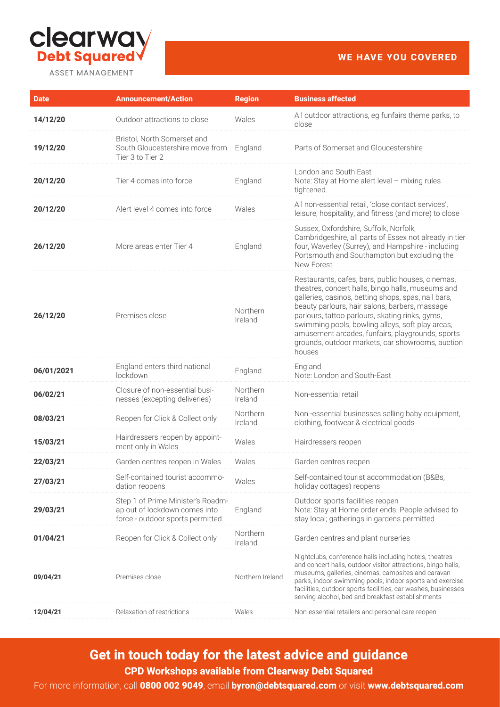

**WE HAVE YOU COVERED**

| <b>Date</b> | <b>Announcement/Action</b>                                                                             | <b>Region</b>       | <b>Business affected</b>                                                                                                                                                                                                                                                                                                                                                                                                                 |
|-------------|--------------------------------------------------------------------------------------------------------|---------------------|------------------------------------------------------------------------------------------------------------------------------------------------------------------------------------------------------------------------------------------------------------------------------------------------------------------------------------------------------------------------------------------------------------------------------------------|
| 14/12/20    | Outdoor attractions to close                                                                           | Wales               | All outdoor attractions, eg funfairs theme parks, to<br>close                                                                                                                                                                                                                                                                                                                                                                            |
| 19/12/20    | Bristol, North Somerset and<br>South Gloucestershire move from<br>Tier 3 to Tier 2                     | England             | Parts of Somerset and Gloucestershire                                                                                                                                                                                                                                                                                                                                                                                                    |
| 20/12/20    | Tier 4 comes into force                                                                                | England             | London and South East<br>Note: Stay at Home alert level - mixing rules<br>tightened.                                                                                                                                                                                                                                                                                                                                                     |
| 20/12/20    | Alert level 4 comes into force                                                                         | Wales               | All non-essential retail, 'close contact services',<br>leisure, hospitality, and fitness (and more) to close                                                                                                                                                                                                                                                                                                                             |
| 26/12/20    | More areas enter Tier 4                                                                                | England             | Sussex, Oxfordshire, Suffolk, Norfolk,<br>Cambridgeshire, all parts of Essex not already in tier<br>four, Waverley (Surrey), and Hampshire - including<br>Portsmouth and Southampton but excluding the<br>New Forest                                                                                                                                                                                                                     |
| 26/12/20    | Premises close                                                                                         | Northern<br>Ireland | Restaurants, cafes, bars, public houses, cinemas,<br>theatres, concert halls, bingo halls, museums and<br>galleries, casinos, betting shops, spas, nail bars,<br>beauty parlours, hair salons, barbers, massage<br>parlours, tattoo parlours, skating rinks, gyms,<br>swimming pools, bowling alleys, soft play areas,<br>amusement arcades, funfairs, playgrounds, sports<br>grounds, outdoor markets, car showrooms, auction<br>houses |
| 06/01/2021  | England enters third national<br>lockdown                                                              | England             | England<br>Note: London and South-East                                                                                                                                                                                                                                                                                                                                                                                                   |
| 06/02/21    | Closure of non-essential busi-<br>nesses (excepting deliveries)                                        | Northern<br>Ireland | Non-essential retail                                                                                                                                                                                                                                                                                                                                                                                                                     |
| 08/03/21    | Reopen for Click & Collect only                                                                        | Northern<br>Ireland | Non-essential businesses selling baby equipment,<br>clothing, footwear & electrical goods                                                                                                                                                                                                                                                                                                                                                |
| 15/03/21    | Hairdressers reopen by appoint-<br>ment only in Wales                                                  | Wales               | Hairdressers reopen                                                                                                                                                                                                                                                                                                                                                                                                                      |
| 22/03/21    | Garden centres reopen in Wales                                                                         | Wales               | Garden centres reopen                                                                                                                                                                                                                                                                                                                                                                                                                    |
| 27/03/21    | Self-contained tourist accommo-<br>dation reopens                                                      | Wales               | Self-contained tourist accommodation (B&Bs,<br>holiday cottages) reopens                                                                                                                                                                                                                                                                                                                                                                 |
| 29/03/21    | Step 1 of Prime Minister's Roadm-<br>ap out of lockdown comes into<br>force - outdoor sports permitted | England             | Outdoor sports facilities reopen<br>Note: Stay at Home order ends. People advised to<br>stay local; gatherings in gardens permitted                                                                                                                                                                                                                                                                                                      |
| 01/04/21    | Reopen for Click & Collect only                                                                        | Northern<br>Ireland | Garden centres and plant nurseries                                                                                                                                                                                                                                                                                                                                                                                                       |
| 09/04/21    | Premises close                                                                                         | Northern Ireland    | Nightclubs, conference halls including hotels, theatres<br>and concert halls, outdoor visitor attractions, bingo halls,<br>museums, galleries, cinemas, campsites and caravan<br>parks, indoor swimming pools, indoor sports and exercise<br>facilities, outdoor sports facilities, car washes, businesses<br>serving alcohol, bed and breakfast establishments                                                                          |
| 12/04/21    | Relaxation of restrictions                                                                             | Wales               | Non-essential retailers and personal care reopen                                                                                                                                                                                                                                                                                                                                                                                         |

# **Get in touch today for the latest advice and guidance CPD Workshops available from Clearway Debt Squared**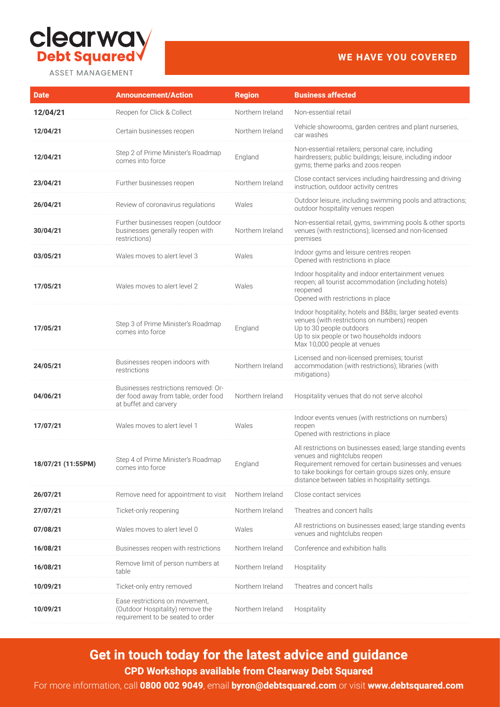

### **WE HAVE YOU COVERED**

| <b>Date</b>        | <b>Announcement/Action</b>                                                                              | <b>Region</b>    | <b>Business affected</b>                                                                                                                                                                                                                                           |
|--------------------|---------------------------------------------------------------------------------------------------------|------------------|--------------------------------------------------------------------------------------------------------------------------------------------------------------------------------------------------------------------------------------------------------------------|
| 12/04/21           | Reopen for Click & Collect                                                                              | Northern Ireland | Non-essential retail                                                                                                                                                                                                                                               |
| 12/04/21           | Certain businesses reopen                                                                               | Northern Ireland | Vehicle showrooms, garden centres and plant nurseries,<br>car washes                                                                                                                                                                                               |
| 12/04/21           | Step 2 of Prime Minister's Roadmap<br>comes into force                                                  | England          | Non-essential retailers; personal care, including<br>hairdressers; public buildings; leisure, including indoor<br>gyms; theme parks and zoos reopen                                                                                                                |
| 23/04/21           | Further businesses reopen                                                                               | Northern Ireland | Close contact services including hairdressing and driving<br>instruction, outdoor activity centres                                                                                                                                                                 |
| 26/04/21           | Review of coronavirus regulations                                                                       | Wales            | Outdoor leisure, including swimming pools and attractions;<br>outdoor hospitality venues reopen                                                                                                                                                                    |
| 30/04/21           | Further businesses reopen (outdoor<br>businesses generally reopen with<br>restrictions)                 | Northern Ireland | Non-essential retail, gyms, swimming pools & other sports<br>venues (with restrictions); licensed and non-licensed<br>premises                                                                                                                                     |
| 03/05/21           | Wales moves to alert level 3                                                                            | Wales            | Indoor gyms and leisure centres reopen<br>Opened with restrictions in place                                                                                                                                                                                        |
| 17/05/21           | Wales moves to alert level 2                                                                            | Wales            | Indoor hospitality and indoor entertainment venues<br>reopen; all tourist accommodation (including hotels)<br>reopened<br>Opened with restrictions in place                                                                                                        |
| 17/05/21           | Step 3 of Prime Minister's Roadmap<br>comes into force                                                  | England          | Indoor hospitality; hotels and B&Bs larger seated events<br>venues (with restrictions on numbers) reopen<br>Up to 30 people outdoors<br>Up to six people or two households indoors<br>Max 10,000 people at venues                                                  |
| 24/05/21           | Businesses reopen indoors with<br>restrictions                                                          | Northern Ireland | Licensed and non-licensed premises; tourist<br>accommodation (with restrictions); libraries (with<br>mitigations)                                                                                                                                                  |
| 04/06/21           | Businesses restrictions removed: Or-<br>der food away from table, order food<br>at buffet and carvery   | Northern Ireland | Hospitality venues that do not serve alcohol                                                                                                                                                                                                                       |
| 17/07/21           | Wales moves to alert level 1                                                                            | Wales            | Indoor events venues (with restrictions on numbers)<br>reopen<br>Opened with restrictions in place                                                                                                                                                                 |
| 18/07/21 (11:55PM) | Step 4 of Prime Minister's Roadmap<br>comes into force                                                  | England          | All restrictions on businesses eased; large standing events<br>venues and nightclubs reopen<br>Requirement removed for certain businesses and venues<br>to take bookings for certain groups sizes only, ensure<br>distance between tables in hospitality settings. |
| 26/07/21           | Remove need for appointment to visit                                                                    | Northern Ireland | Close contact services                                                                                                                                                                                                                                             |
| 27/07/21           | Ticket-only reopening                                                                                   | Northern Ireland | Theatres and concert halls                                                                                                                                                                                                                                         |
| 07/08/21           | Wales moves to alert level 0                                                                            | Wales            | All restrictions on businesses eased; large standing events<br>venues and nightclubs reopen                                                                                                                                                                        |
| 16/08/21           | Businesses reopen with restrictions                                                                     | Northern Ireland | Conference and exhibition halls                                                                                                                                                                                                                                    |
| 16/08/21           | Remove limit of person numbers at<br>table                                                              | Northern Ireland | Hospitality                                                                                                                                                                                                                                                        |
| 10/09/21           | Ticket-only entry removed                                                                               | Northern Ireland | Theatres and concert halls                                                                                                                                                                                                                                         |
| 10/09/21           | Ease restrictions on movement,<br>(Outdoor Hospitality) remove the<br>requirement to be seated to order | Northern Ireland | Hospitality                                                                                                                                                                                                                                                        |

# **Get in touch today for the latest advice and guidance CPD Workshops available from Clearway Debt Squared**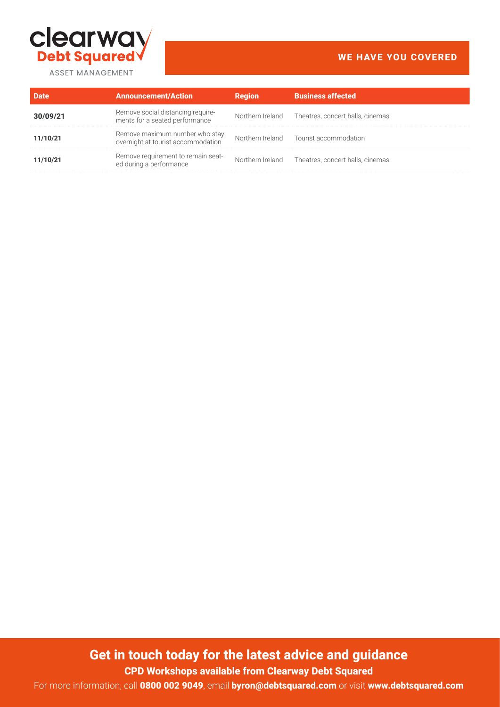

# **WE HAVE YOU COVERED**

|          | <b>Announcement/Action</b>                                           | Region | <b>Business affected</b>                          |
|----------|----------------------------------------------------------------------|--------|---------------------------------------------------|
|          | Remove social distancing require-<br>ments for a seated performance  |        | Northern Ireland Theatres, concert halls, cinemas |
| 11/10/21 | Remove maximum number who stay<br>overnight at tourist accommodation |        | Northern Ireland Tourist accommodation            |
| 11/10/21 | Remove requirement to remain seat-<br>ed during a performance        |        | Northern Ireland Theatres, concert halls, cinemas |

**Get in touch today for the latest advice and guidance**

**CPD Workshops available from Clearway Debt Squared**